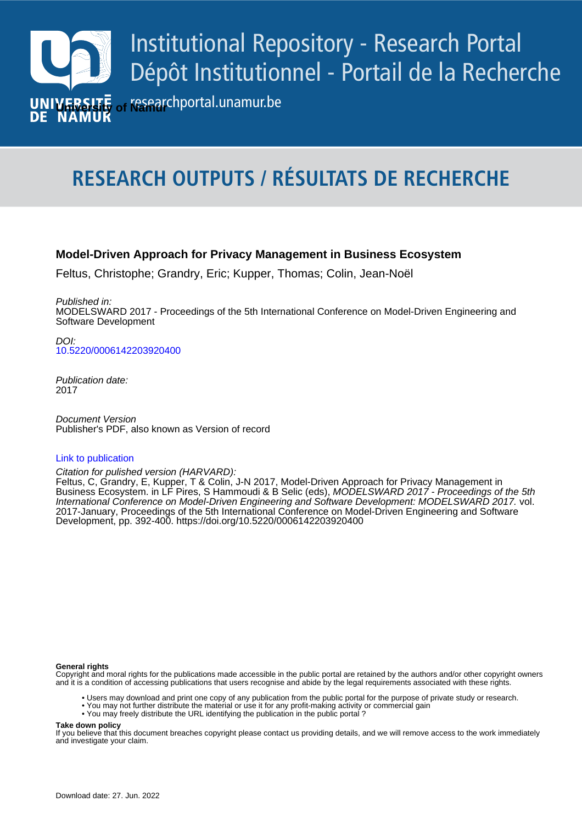

# **RESEARCH OUTPUTS / RÉSULTATS DE RECHERCHE**

#### **Model-Driven Approach for Privacy Management in Business Ecosystem**

Feltus, Christophe; Grandry, Eric; Kupper, Thomas; Colin, Jean-Noël

Published in: MODELSWARD 2017 - Proceedings of the 5th International Conference on Model-Driven Engineering and Software Development

**Author(s) - Auteur(s) :** [10.5220/0006142203920400](https://doi.org/10.5220/0006142203920400)  $D$ 

> Publication date: 2017

**Pocument version**<br>Publisher's PDF, also known as Version of record Document Version

#### [Link to publication](https://researchportal.unamur.be/en/publications/52821aba-4085-47ab-af57-8cba1ad38492)

Citation for pulished version (HARVARD):

Business Ecosystem. in LF Pire Feltus, C, Grandry, E, Kupper, T & Colin, J-N 2017, Model-Driven Approach for Privacy Management in Business Ecosystem. in LF Pires, S Hammoudi & B Selic (eds), *MODELSWARD 2017 - Proceedings of the 5th* International Conference on Model-Driven Engineering and Software Development: MODELSWARD 2017. vol. 2017-January, Proceedings of the 5th International Conference on Model-Driven Engineering and Software Development, pp. 392-400.<https://doi.org/10.5220/0006142203920400>

#### **General rights**

Copyright and moral rights for the publications made accessible in the public portal are retained by the authors and/or other copyright owners and it is a condition of accessing publications that users recognise and abide by the legal requirements associated with these rights.

- Users may download and print one copy of any publication from the public portal for the purpose of private study or research.
- You may not further distribute the material or use it for any profit-making activity or commercial gain
- You may freely distribute the URL identifying the publication in the public portal ?

**Take down policy**

If you believe that this document breaches copyright please contact us providing details, and we will remove access to the work immediately and investigate your claim.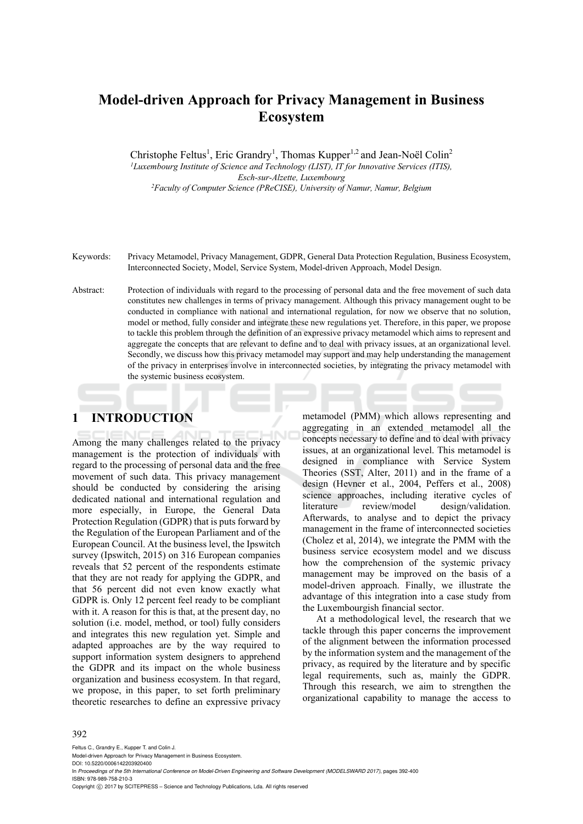# **Model-driven Approach for Privacy Management in Business Ecosystem**

Christophe Feltus<sup>1</sup>, Eric Grandry<sup>1</sup>, Thomas Kupper<sup>1,2</sup> and Jean-Noël Colin<sup>2</sup> *1Luxembourg Institute of Science and Technology (LIST), IT for Innovative Services (ITIS), Esch-sur-Alzette, Luxembourg 2Faculty of Computer Science (PReCISE), University of Namur, Namur, Belgium* 

Keywords: Privacy Metamodel, Privacy Management, GDPR, General Data Protection Regulation, Business Ecosystem, Interconnected Society, Model, Service System, Model-driven Approach, Model Design.

Abstract: Protection of individuals with regard to the processing of personal data and the free movement of such data constitutes new challenges in terms of privacy management. Although this privacy management ought to be conducted in compliance with national and international regulation, for now we observe that no solution, model or method, fully consider and integrate these new regulations yet. Therefore, in this paper, we propose to tackle this problem through the definition of an expressive privacy metamodel which aims to represent and aggregate the concepts that are relevant to define and to deal with privacy issues, at an organizational level. Secondly, we discuss how this privacy metamodel may support and may help understanding the management of the privacy in enterprises involve in interconnected societies, by integrating the privacy metamodel with the systemic business ecosystem.

## **1 INTRODUCTION**

Among the many challenges related to the privacy management is the protection of individuals with regard to the processing of personal data and the free movement of such data. This privacy management should be conducted by considering the arising dedicated national and international regulation and more especially, in Europe, the General Data Protection Regulation (GDPR) that is puts forward by the Regulation of the European Parliament and of the European Council. At the business level, the Ipswitch survey (Ipswitch, 2015) on 316 European companies reveals that 52 percent of the respondents estimate that they are not ready for applying the GDPR, and that 56 percent did not even know exactly what GDPR is. Only 12 percent feel ready to be compliant with it. A reason for this is that, at the present day, no solution (i.e. model, method, or tool) fully considers and integrates this new regulation yet. Simple and adapted approaches are by the way required to support information system designers to apprehend the GDPR and its impact on the whole business organization and business ecosystem. In that regard, we propose, in this paper, to set forth preliminary theoretic researches to define an expressive privacy

metamodel (PMM) which allows representing and aggregating in an extended metamodel all the concepts necessary to define and to deal with privacy issues, at an organizational level. This metamodel is designed in compliance with Service System Theories (SST, Alter, 2011) and in the frame of a design (Hevner et al., 2004, Peffers et al., 2008) science approaches, including iterative cycles of literature review/model design/validation. Afterwards, to analyse and to depict the privacy management in the frame of interconnected societies (Cholez et al, 2014), we integrate the PMM with the business service ecosystem model and we discuss how the comprehension of the systemic privacy management may be improved on the basis of a model-driven approach. Finally, we illustrate the advantage of this integration into a case study from the Luxembourgish financial sector.

At a methodological level, the research that we tackle through this paper concerns the improvement of the alignment between the information processed by the information system and the management of the privacy, as required by the literature and by specific legal requirements, such as, mainly the GDPR. Through this research, we aim to strengthen the organizational capability to manage the access to

#### 392

Feltus C., Grandry E., Kupper T. and Colin J.

Model-driven Approach for Privacy Management in Business Ecosystem. DOI: 10.5220/0006142203920400

In *Proceedings of the 5th International Conference on Model-Driven Engineering and Software Development (MODELSWARD 2017)*, pages 392-400 ISBN: 978-989-758-210-3

Copyright © 2017 by SCITEPRESS - Science and Technology Publications, Lda. All rights reserved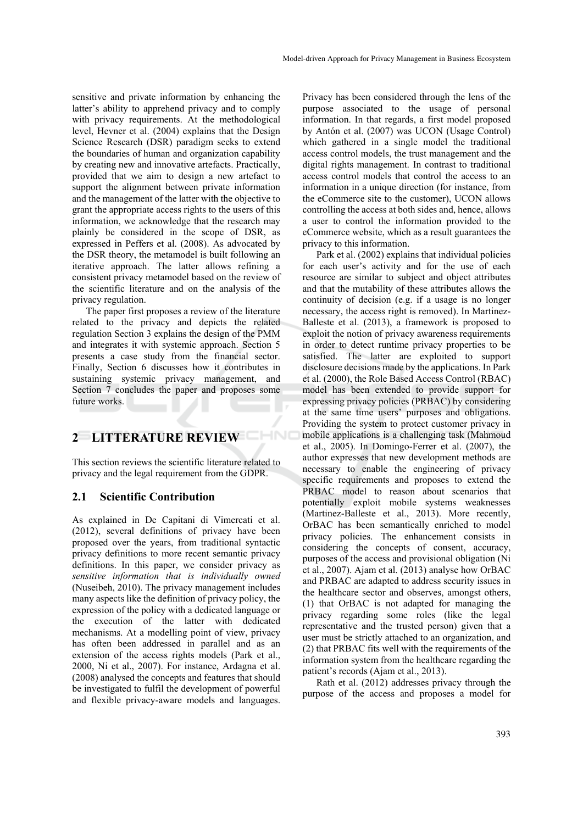sensitive and private information by enhancing the latter's ability to apprehend privacy and to comply with privacy requirements. At the methodological level, Hevner et al. (2004) explains that the Design Science Research (DSR) paradigm seeks to extend the boundaries of human and organization capability by creating new and innovative artefacts. Practically, provided that we aim to design a new artefact to support the alignment between private information and the management of the latter with the objective to grant the appropriate access rights to the users of this information, we acknowledge that the research may plainly be considered in the scope of DSR, as expressed in Peffers et al. (2008). As advocated by the DSR theory, the metamodel is built following an iterative approach. The latter allows refining a consistent privacy metamodel based on the review of the scientific literature and on the analysis of the privacy regulation.

The paper first proposes a review of the literature related to the privacy and depicts the related regulation Section 3 explains the design of the PMM and integrates it with systemic approach. Section 5 presents a case study from the financial sector. Finally, Section 6 discusses how it contributes in sustaining systemic privacy management, and Section 7 concludes the paper and proposes some future works.

## **2 LITTERATURE REVIEW**

This section reviews the scientific literature related to privacy and the legal requirement from the GDPR.

#### **2.1 Scientific Contribution**

As explained in De Capitani di Vimercati et al. (2012), several definitions of privacy have been proposed over the years, from traditional syntactic privacy definitions to more recent semantic privacy definitions. In this paper, we consider privacy as *sensitive information that is individually owned* (Nuseibeh, 2010). The privacy management includes many aspects like the definition of privacy policy, the expression of the policy with a dedicated language or the execution of the latter with dedicated mechanisms. At a modelling point of view, privacy has often been addressed in parallel and as an extension of the access rights models (Park et al., 2000, Ni et al., 2007). For instance, Ardagna et al. (2008) analysed the concepts and features that should be investigated to fulfil the development of powerful and flexible privacy-aware models and languages.

Privacy has been considered through the lens of the purpose associated to the usage of personal information. In that regards, a first model proposed by Antón et al. (2007) was UCON (Usage Control) which gathered in a single model the traditional access control models, the trust management and the digital rights management. In contrast to traditional access control models that control the access to an information in a unique direction (for instance, from the eCommerce site to the customer), UCON allows controlling the access at both sides and, hence, allows a user to control the information provided to the eCommerce website, which as a result guarantees the privacy to this information.

Park et al. (2002) explains that individual policies for each user's activity and for the use of each resource are similar to subject and object attributes and that the mutability of these attributes allows the continuity of decision (e.g. if a usage is no longer necessary, the access right is removed). In Martinez-Balleste et al. (2013), a framework is proposed to exploit the notion of privacy awareness requirements in order to detect runtime privacy properties to be satisfied. The latter are exploited to support disclosure decisions made by the applications. In Park et al. (2000), the Role Based Access Control (RBAC) model has been extended to provide support for expressing privacy policies (PRBAC) by considering at the same time users' purposes and obligations. Providing the system to protect customer privacy in mobile applications is a challenging task (Mahmoud et al., 2005). In Domingo-Ferrer et al. (2007), the author expresses that new development methods are necessary to enable the engineering of privacy specific requirements and proposes to extend the PRBAC model to reason about scenarios that potentially exploit mobile systems weaknesses (Martinez-Balleste et al., 2013). More recently, OrBAC has been semantically enriched to model privacy policies. The enhancement consists in considering the concepts of consent, accuracy, purposes of the access and provisional obligation (Ni et al., 2007). Ajam et al. (2013) analyse how OrBAC and PRBAC are adapted to address security issues in the healthcare sector and observes, amongst others, (1) that OrBAC is not adapted for managing the privacy regarding some roles (like the legal representative and the trusted person) given that a user must be strictly attached to an organization, and (2) that PRBAC fits well with the requirements of the information system from the healthcare regarding the patient's records (Ajam et al., 2013).

Rath et al. (2012) addresses privacy through the purpose of the access and proposes a model for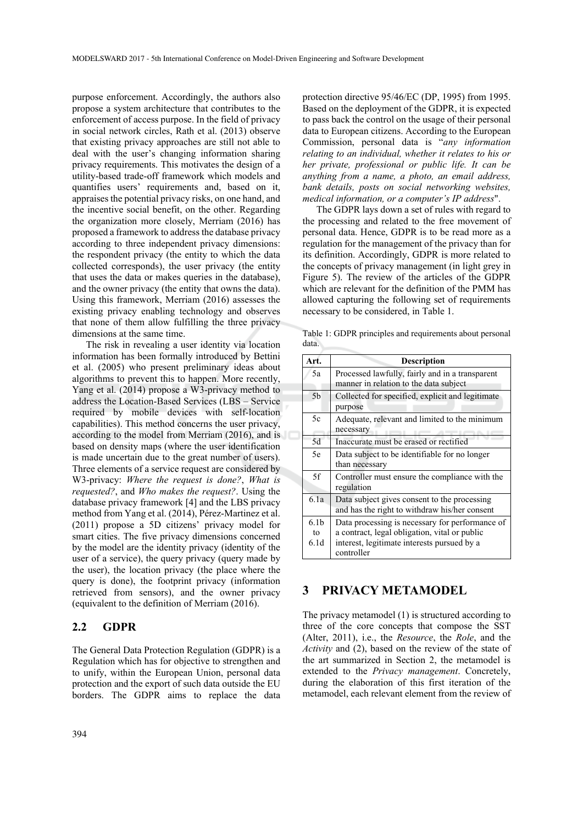purpose enforcement. Accordingly, the authors also propose a system architecture that contributes to the enforcement of access purpose. In the field of privacy in social network circles, Rath et al. (2013) observe that existing privacy approaches are still not able to deal with the user's changing information sharing privacy requirements. This motivates the design of a utility-based trade-off framework which models and quantifies users' requirements and, based on it, appraises the potential privacy risks, on one hand, and the incentive social benefit, on the other. Regarding the organization more closely, Merriam (2016) has proposed a framework to address the database privacy according to three independent privacy dimensions: the respondent privacy (the entity to which the data collected corresponds), the user privacy (the entity that uses the data or makes queries in the database), and the owner privacy (the entity that owns the data). Using this framework, Merriam (2016) assesses the existing privacy enabling technology and observes that none of them allow fulfilling the three privacy dimensions at the same time.

The risk in revealing a user identity via location information has been formally introduced by Bettini et al. (2005) who present preliminary ideas about algorithms to prevent this to happen. More recently, Yang et al. (2014) propose a W3-privacy method to address the Location-Based Services (LBS – Service required by mobile devices with self-location capabilities). This method concerns the user privacy, according to the model from Merriam (2016), and is based on density maps (where the user identification is made uncertain due to the great number of users). Three elements of a service request are considered by W3-privacy: *Where the request is done?*, *What is requested?*, and *Who makes the request?*. Using the database privacy framework [4] and the LBS privacy method from Yang et al. (2014), Pérez-Martinez et al. (2011) propose a 5D citizens' privacy model for smart cities. The five privacy dimensions concerned by the model are the identity privacy (identity of the user of a service), the query privacy (query made by the user), the location privacy (the place where the query is done), the footprint privacy (information retrieved from sensors), and the owner privacy (equivalent to the definition of Merriam (2016).

#### **2.2 GDPR**

The General Data Protection Regulation (GDPR) is a Regulation which has for objective to strengthen and to unify, within the European Union, personal data protection and the export of such data outside the EU borders. The GDPR aims to replace the data

protection directive 95/46/EC (DP, 1995) from 1995. Based on the deployment of the GDPR, it is expected to pass back the control on the usage of their personal data to European citizens. According to the European Commission, personal data is "*any information relating to an individual, whether it relates to his or her private, professional or public life. It can be anything from a name, a photo, an email address, bank details, posts on social networking websites, medical information, or a computer's IP address*".

The GDPR lays down a set of rules with regard to the processing and related to the free movement of personal data. Hence, GDPR is to be read more as a regulation for the management of the privacy than for its definition. Accordingly, GDPR is more related to the concepts of privacy management (in light grey in Figure 5). The review of the articles of the GDPR which are relevant for the definition of the PMM has allowed capturing the following set of requirements necessary to be considered, in Table 1.

Table 1: GDPR principles and requirements about personal data.

| Art.               | <b>Description</b>                                                                                                                                            |
|--------------------|---------------------------------------------------------------------------------------------------------------------------------------------------------------|
| 5a                 | Processed lawfully, fairly and in a transparent<br>manner in relation to the data subject                                                                     |
| 5 <sub>b</sub>     | Collected for specified, explicit and legitimate<br>purpose                                                                                                   |
| 5c                 | Adequate, relevant and limited to the minimum<br>necessary                                                                                                    |
| 5d                 | Inaccurate must be erased or rectified                                                                                                                        |
| 5e                 | Data subject to be identifiable for no longer<br>than necessary                                                                                               |
| 5f                 | Controller must ensure the compliance with the<br>regulation                                                                                                  |
| 6.1a               | Data subject gives consent to the processing<br>and has the right to withdraw his/her consent                                                                 |
| 6.1b<br>to<br>6.1d | Data processing is necessary for performance of<br>a contract, legal obligation, vital or public<br>interest, legitimate interests pursued by a<br>controller |

#### **3 PRIVACY METAMODEL**

The privacy metamodel (1) is structured according to three of the core concepts that compose the SST (Alter, 2011), i.e., the *Resource*, the *Role*, and the *Activity* and (2), based on the review of the state of the art summarized in Section 2, the metamodel is extended to the *Privacy management*. Concretely, during the elaboration of this first iteration of the metamodel, each relevant element from the review of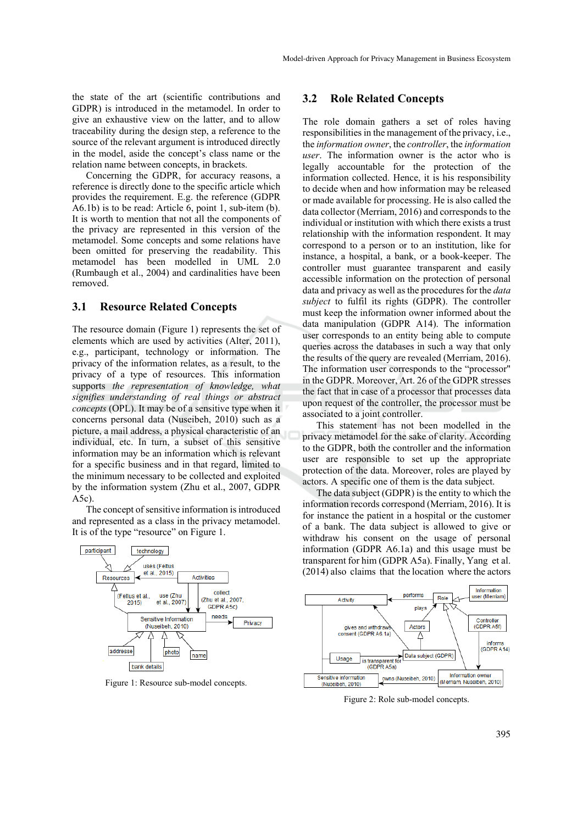the state of the art (scientific contributions and GDPR) is introduced in the metamodel. In order to give an exhaustive view on the latter, and to allow traceability during the design step, a reference to the source of the relevant argument is introduced directly in the model, aside the concept's class name or the relation name between concepts, in brackets.

Concerning the GDPR, for accuracy reasons, a reference is directly done to the specific article which provides the requirement. E.g. the reference (GDPR A6.1b) is to be read: Article 6, point 1, sub-item (b). It is worth to mention that not all the components of the privacy are represented in this version of the metamodel. Some concepts and some relations have been omitted for preserving the readability. This metamodel has been modelled in UML 2.0 (Rumbaugh et al., 2004) and cardinalities have been removed.

#### **3.1 Resource Related Concepts**

The resource domain (Figure 1) represents the set of elements which are used by activities (Alter, 2011), e.g., participant, technology or information. The privacy of the information relates, as a result, to the privacy of a type of resources. This information supports *the representation of knowledge, what signifies understanding of real things or abstract concepts* (OPL). It may be of a sensitive type when it concerns personal data (Nuseibeh, 2010) such as a picture, a mail address, a physical characteristic of an individual, etc. In turn, a subset of this sensitive information may be an information which is relevant for a specific business and in that regard, limited to the minimum necessary to be collected and exploited by the information system (Zhu et al., 2007, GDPR A5c).

The concept of sensitive information is introduced and represented as a class in the privacy metamodel. It is of the type "resource" on Figure 1.



Figure 1: Resource sub-model concepts.

#### **3.2 Role Related Concepts**

The role domain gathers a set of roles having responsibilities in the management of the privacy, i.e., the *information owner*, the *controller*, the *information user*. The information owner is the actor who is legally accountable for the protection of the information collected. Hence, it is his responsibility to decide when and how information may be released or made available for processing. He is also called the data collector (Merriam, 2016) and corresponds to the individual or institution with which there exists a trust relationship with the information respondent. It may correspond to a person or to an institution, like for instance, a hospital, a bank, or a book-keeper. The controller must guarantee transparent and easily accessible information on the protection of personal data and privacy as well as the procedures for the *data subject* to fulfil its rights (GDPR). The controller must keep the information owner informed about the data manipulation (GDPR A14). The information user corresponds to an entity being able to compute queries across the databases in such a way that only the results of the query are revealed (Merriam, 2016). The information user corresponds to the "processor" in the GDPR. Moreover, Art. 26 of the GDPR stresses the fact that in case of a processor that processes data upon request of the controller, the processor must be associated to a joint controller.

This statement has not been modelled in the privacy metamodel for the sake of clarity. According to the GDPR, both the controller and the information user are responsible to set up the appropriate protection of the data. Moreover, roles are played by actors. A specific one of them is the data subject.

The data subject (GDPR) is the entity to which the information records correspond (Merriam, 2016). It is for instance the patient in a hospital or the customer of a bank. The data subject is allowed to give or withdraw his consent on the usage of personal information (GDPR A6.1a) and this usage must be transparent for him (GDPR A5a). Finally, Yang et al. (2014) also claims that the location where the actors



Figure 2: Role sub-model concepts.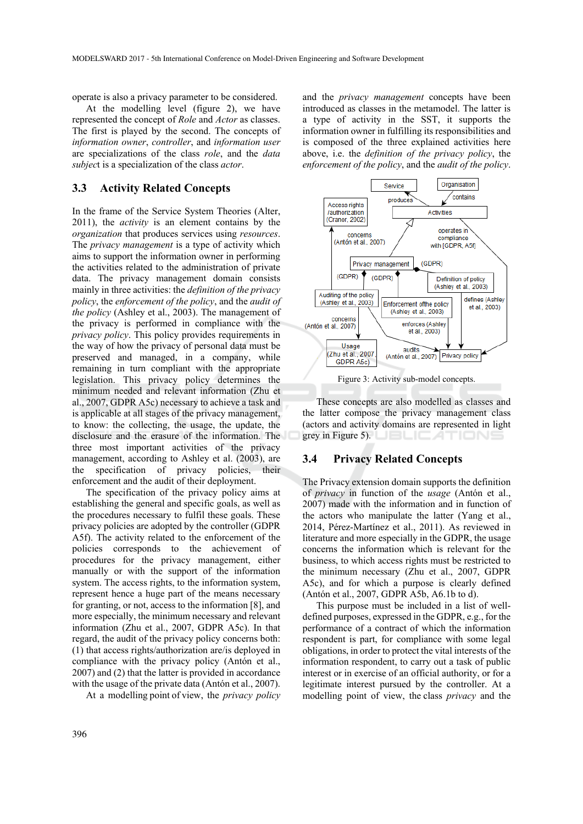operate is also a privacy parameter to be considered.

At the modelling level (figure 2), we have represented the concept of *Role* and *Actor* as classes. The first is played by the second. The concepts of *information owner*, *controller*, and *information user* are specializations of the class *role*, and the *data subjec*t is a specialization of the class *actor*.

#### **3.3 Activity Related Concepts**

In the frame of the Service System Theories (Alter, 2011), the *activity* is an element contains by the *organization* that produces services using *resources*. The *privacy management* is a type of activity which aims to support the information owner in performing the activities related to the administration of private data. The privacy management domain consists mainly in three activities: the *definition of the privacy policy*, the *enforcement of the policy*, and the *audit of the policy* (Ashley et al., 2003). The management of the privacy is performed in compliance with the *privacy policy*. This policy provides requirements in the way of how the privacy of personal data must be preserved and managed, in a company, while remaining in turn compliant with the appropriate legislation. This privacy policy determines the minimum needed and relevant information (Zhu et al., 2007, GDPR A5c) necessary to achieve a task and is applicable at all stages of the privacy management, to know: the collecting, the usage, the update, the disclosure and the erasure of the information. The three most important activities of the privacy management, according to Ashley et al. (2003), are the specification of privacy policies, their enforcement and the audit of their deployment.

The specification of the privacy policy aims at establishing the general and specific goals, as well as the procedures necessary to fulfil these goals. These privacy policies are adopted by the controller (GDPR A5f). The activity related to the enforcement of the policies corresponds to the achievement of procedures for the privacy management, either manually or with the support of the information system. The access rights, to the information system, represent hence a huge part of the means necessary for granting, or not, access to the information [8], and more especially, the minimum necessary and relevant information (Zhu et al., 2007, GDPR A5c). In that regard, the audit of the privacy policy concerns both: (1) that access rights/authorization are/is deployed in compliance with the privacy policy (Antón et al., 2007) and (2) that the latter is provided in accordance with the usage of the private data (Antón et al., 2007).

At a modelling point of view, the *privacy policy*

and the *privacy management* concepts have been introduced as classes in the metamodel. The latter is a type of activity in the SST, it supports the information owner in fulfilling its responsibilities and is composed of the three explained activities here above, i.e. the *definition of the privacy policy*, the *enforcement of the policy*, and the *audit of the policy*.



These concepts are also modelled as classes and the latter compose the privacy management class (actors and activity domains are represented in light grey in Figure 5).

#### **3.4 Privacy Related Concepts**

The Privacy extension domain supports the definition of *privacy* in function of the *usage* (Antón et al., 2007) made with the information and in function of the actors who manipulate the latter (Yang et al., 2014, Pérez-Martínez et al., 2011). As reviewed in literature and more especially in the GDPR, the usage concerns the information which is relevant for the business, to which access rights must be restricted to the minimum necessary (Zhu et al., 2007, GDPR A5c), and for which a purpose is clearly defined (Antón et al., 2007, GDPR A5b, A6.1b to d).

This purpose must be included in a list of welldefined purposes, expressed in the GDPR, e.g., for the performance of a contract of which the information respondent is part, for compliance with some legal obligations, in order to protect the vital interests of the information respondent, to carry out a task of public interest or in exercise of an official authority, or for a legitimate interest pursued by the controller. At a modelling point of view, the class *privacy* and the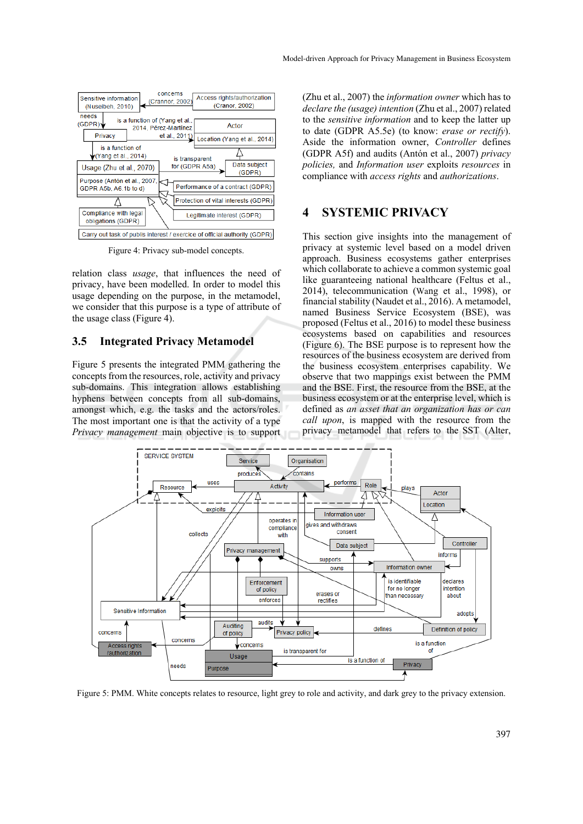

Figure 4: Privacy sub-model concepts.

relation class *usage*, that influences the need of privacy, have been modelled. In order to model this usage depending on the purpose, in the metamodel, we consider that this purpose is a type of attribute of the usage class (Figure 4).

#### **3.5 Integrated Privacy Metamodel**

Figure 5 presents the integrated PMM gathering the concepts from the resources, role, activity and privacy sub-domains. This integration allows establishing hyphens between concepts from all sub-domains, amongst which, e.g. the tasks and the actors/roles. The most important one is that the activity of a type *Privacy management* main objective is to support

(Zhu et al., 2007) the *information owner* which has to *declare the (usage) intention* (Zhu et al., 2007) related to the *sensitive information* and to keep the latter up to date (GDPR A5.5e) (to know: *erase or rectify*). Aside the information owner, *Controller* defines (GDPR A5f) and audits (Antón et al., 2007) *privacy policies,* and *Information user* exploits *resources* in compliance with *access rights* and *authorizations*.

### **4 SYSTEMIC PRIVACY**

This section give insights into the management of privacy at systemic level based on a model driven approach. Business ecosystems gather enterprises which collaborate to achieve a common systemic goal like guaranteeing national healthcare (Feltus et al., 2014), telecommunication (Wang et al., 1998), or financial stability (Naudet et al., 2016). A metamodel, named Business Service Ecosystem (BSE), was proposed (Feltus et al., 2016) to model these business ecosystems based on capabilities and resources (Figure 6). The BSE purpose is to represent how the resources of the business ecosystem are derived from the business ecosystem enterprises capability. We observe that two mappings exist between the PMM and the BSE. First, the resource from the BSE, at the business ecosystem or at the enterprise level, which is defined as *an asset that an organization has or can call upon*, is mapped with the resource from the privacy metamodel that refers to the SST (Alter,



Figure 5: PMM. White concepts relates to resource, light grey to role and activity, and dark grey to the privacy extension.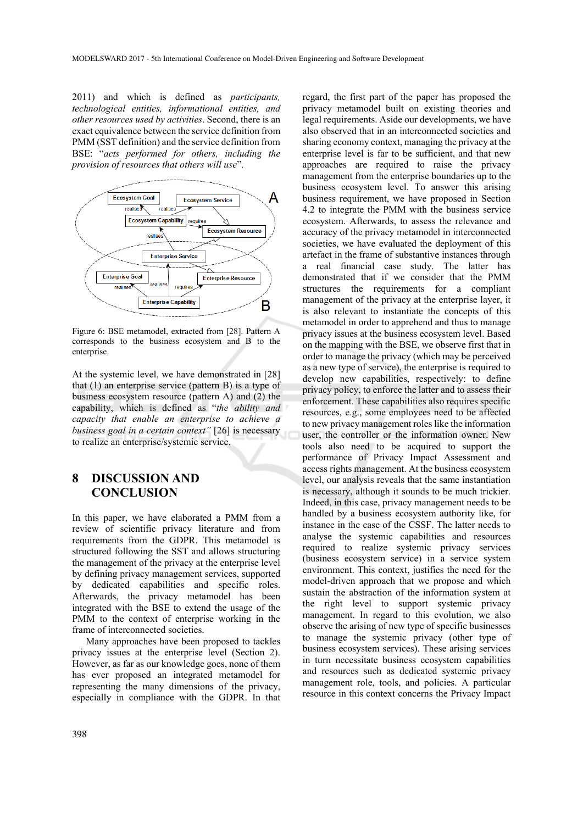2011) and which is defined as *participants, technological entities, informational entities, and other resources used by activities*. Second, there is an exact equivalence between the service definition from PMM (SST definition) and the service definition from BSE: "*acts performed for others, including the provision of resources that others will use*".



Figure 6: BSE metamodel, extracted from [28]. Pattern A corresponds to the business ecosystem and B to the enterprise.

At the systemic level, we have demonstrated in [28] that (1) an enterprise service (pattern B) is a type of business ecosystem resource (pattern A) and (2) the capability, which is defined as "*the ability and capacity that enable an enterprise to achieve a business goal in a certain context"* [26] is necessary to realize an enterprise/systemic service.

## **8 DISCUSSION AND CONCLUSION**

In this paper, we have elaborated a PMM from a review of scientific privacy literature and from requirements from the GDPR. This metamodel is structured following the SST and allows structuring the management of the privacy at the enterprise level by defining privacy management services, supported by dedicated capabilities and specific roles. Afterwards, the privacy metamodel has been integrated with the BSE to extend the usage of the PMM to the context of enterprise working in the frame of interconnected societies.

Many approaches have been proposed to tackles privacy issues at the enterprise level (Section 2). However, as far as our knowledge goes, none of them has ever proposed an integrated metamodel for representing the many dimensions of the privacy, especially in compliance with the GDPR. In that

regard, the first part of the paper has proposed the privacy metamodel built on existing theories and legal requirements. Aside our developments, we have also observed that in an interconnected societies and sharing economy context, managing the privacy at the enterprise level is far to be sufficient, and that new approaches are required to raise the privacy management from the enterprise boundaries up to the business ecosystem level. To answer this arising business requirement, we have proposed in Section 4.2 to integrate the PMM with the business service ecosystem. Afterwards, to assess the relevance and accuracy of the privacy metamodel in interconnected societies, we have evaluated the deployment of this artefact in the frame of substantive instances through a real financial case study. The latter has demonstrated that if we consider that the PMM structures the requirements for a compliant management of the privacy at the enterprise layer, it is also relevant to instantiate the concepts of this metamodel in order to apprehend and thus to manage privacy issues at the business ecosystem level. Based on the mapping with the BSE, we observe first that in order to manage the privacy (which may be perceived as a new type of service), the enterprise is required to develop new capabilities, respectively: to define privacy policy, to enforce the latter and to assess their enforcement. These capabilities also requires specific resources, e.g., some employees need to be affected to new privacy management roles like the information user, the controller or the information owner. New tools also need to be acquired to support the performance of Privacy Impact Assessment and access rights management. At the business ecosystem level, our analysis reveals that the same instantiation is necessary, although it sounds to be much trickier. Indeed, in this case, privacy management needs to be handled by a business ecosystem authority like, for instance in the case of the CSSF. The latter needs to analyse the systemic capabilities and resources required to realize systemic privacy services (business ecosystem service) in a service system environment. This context, justifies the need for the model-driven approach that we propose and which sustain the abstraction of the information system at the right level to support systemic privacy management. In regard to this evolution, we also observe the arising of new type of specific businesses to manage the systemic privacy (other type of business ecosystem services). These arising services in turn necessitate business ecosystem capabilities and resources such as dedicated systemic privacy management role, tools, and policies. A particular resource in this context concerns the Privacy Impact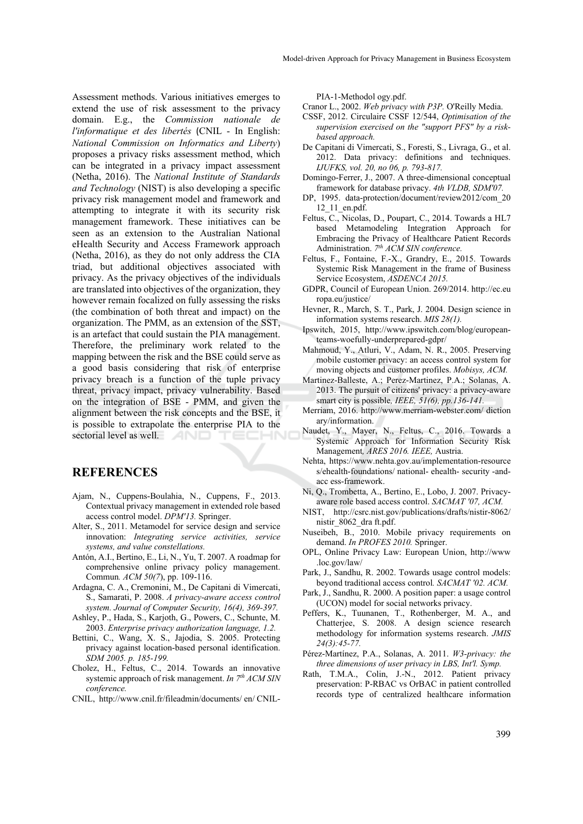Assessment methods. Various initiatives emerges to extend the use of risk assessment to the privacy domain. E.g., the *Commission nationale de l'informatique et des libertés* (CNIL - In English: *National Commission on Informatics and Liberty*) proposes a privacy risks assessment method, which can be integrated in a privacy impact assessment (Netha, 2016). The *National Institute of Standards and Technology* (NIST) is also developing a specific privacy risk management model and framework and attempting to integrate it with its security risk management framework. These initiatives can be seen as an extension to the Australian National eHealth Security and Access Framework approach (Netha, 2016), as they do not only address the CIA triad, but additional objectives associated with privacy. As the privacy objectives of the individuals are translated into objectives of the organization, they however remain focalized on fully assessing the risks (the combination of both threat and impact) on the organization. The PMM, as an extension of the SST, is an artefact that could sustain the PIA management. Therefore, the preliminary work related to the mapping between the risk and the BSE could serve as a good basis considering that risk of enterprise privacy breach is a function of the tuple privacy threat, privacy impact, privacy vulnerability. Based on the integration of BSE - PMM, and given the alignment between the risk concepts and the BSE, it is possible to extrapolate the enterprise PIA to the sectorial level as well. TECHNI

#### **REFERENCES**

- Ajam, N., Cuppens-Boulahia, N., Cuppens, F., 2013. Contextual privacy management in extended role based access control model. *DPM'13.* Springer.
- Alter, S., 2011. Metamodel for service design and service innovation: *Integrating service activities, service systems, and value constellations.*
- Antón, A.I., Bertino, E., Li, N., Yu, T. 2007. A roadmap for comprehensive online privacy policy management. Commun*. ACM 50(7*), pp. 109-116.
- Ardagna, C. A., Cremonini, M., De Capitani di Vimercati, S., Samarati, P. 2008. *A privacy-aware access control system. Journal of Computer Security, 16(4), 369-397.*
- Ashley, P., Hada, S., Karjoth, G., Powers, C., Schunte, M. 2003. *Enterprise privacy authorization language, 1.2.*
- Bettini, C., Wang, X. S., Jajodia, S. 2005. Protecting privacy against location-based personal identification. *SDM 2005. p. 185-199.*
- Cholez, H., Feltus, C., 2014. Towards an innovative systemic approach of risk management. *In 7<sup>th</sup> ACM SIN conference.*
- CNIL, http://www.cnil.fr/fileadmin/documents/ en/ CNIL-

PIA-1-Methodol ogy.pdf.

- Cranor L., 2002. *Web privacy with P3P.* O'Reilly Media.
- CSSF, 2012. Circulaire CSSF 12/544, *Optimisation of the supervision exercised on the "support PFS" by a riskbased approach.*
- De Capitani di Vimercati, S., Foresti, S., Livraga, G., et al. 2012. Data privacy: definitions and techniques. *IJUFKS, vol. 20, no 06, p. 793-817.*
- Domingo-Ferrer, J., 2007. A three-dimensional conceptual framework for database privacy. *4th VLDB, SDM'07.*
- DP, 1995. data-protection/document/review2012/com\_20 12\_11\_en.pdf.
- Feltus, C., Nicolas, D., Poupart, C., 2014. Towards a HL7 based Metamodeling Integration Approach for Embracing the Privacy of Healthcare Patient Records Administration. *7th ACM SIN conference.*
- Feltus, F., Fontaine, F.-X., Grandry, E., 2015. Towards Systemic Risk Management in the frame of Business Service Ecosystem, *ASDENCA 2015.*
- GDPR, Council of European Union. 269/2014. http://ec.eu ropa.eu/justice/
- Hevner, R., March, S. T., Park, J. 2004. Design science in information systems research. *MIS 28(1).*
- Ipswitch, 2015, http://www.ipswitch.com/blog/europeanteams-woefully-underprepared-gdpr/
- Mahmoud, Y., Atluri, V., Adam, N. R., 2005. Preserving mobile customer privacy: an access control system for moving objects and customer profiles. *Mobisys, ACM.*
- Martinez-Balleste, A.; Perez-Martinez, P.A.; Solanas, A. 2013. The pursuit of citizens' privacy: a privacy-aware smart city is possible*, IEEE, 51(6), pp.136-141.*
- Merriam, 2016. http://www.merriam-webster.com/ diction ary/information.
- Naudet, Y., Mayer, N., Feltus, C., 2016. Towards a Systemic Approach for Information Security Risk Management*, ARES 2016. IEEE,* Austria.
- Nehta, https://www.nehta.gov.au/implementation-resource s/ehealth-foundations/ national- ehealth- security -andacc ess-framework.
- Ni, Q., Trombetta, A., Bertino, E., Lobo, J. 2007. Privacyaware role based access control. *SACMAT '07, ACM.*
- NIST, http://csrc.nist.gov/publications/drafts/nistir-8062/ nistir\_8062\_dra ft.pdf.
- Nuseibeh, B., 2010. Mobile privacy requirements on demand. *In PROFES 2010.* Springer.
- OPL, Online Privacy Law: European Union, http://www .loc.gov/law/
- Park, J., Sandhu, R. 2002. Towards usage control models: beyond traditional access control*. SACMAT '02. ACM.*
- Park, J., Sandhu, R. 2000. A position paper: a usage control (UCON) model for social networks privacy.
- Peffers, K., Tuunanen, T., Rothenberger, M. A., and Chatterjee, S. 2008. A design science research methodology for information systems research. *JMIS 24(3):45-77.*
- Pérez-Martínez, P.A., Solanas, A. 2011. *W3-privacy: the three dimensions of user privacy in LBS, Int'l. Symp.*
- Rath, T.M.A., Colin, J.-N., 2012. Patient privacy preservation: P-RBAC vs OrBAC in patient controlled records type of centralized healthcare information